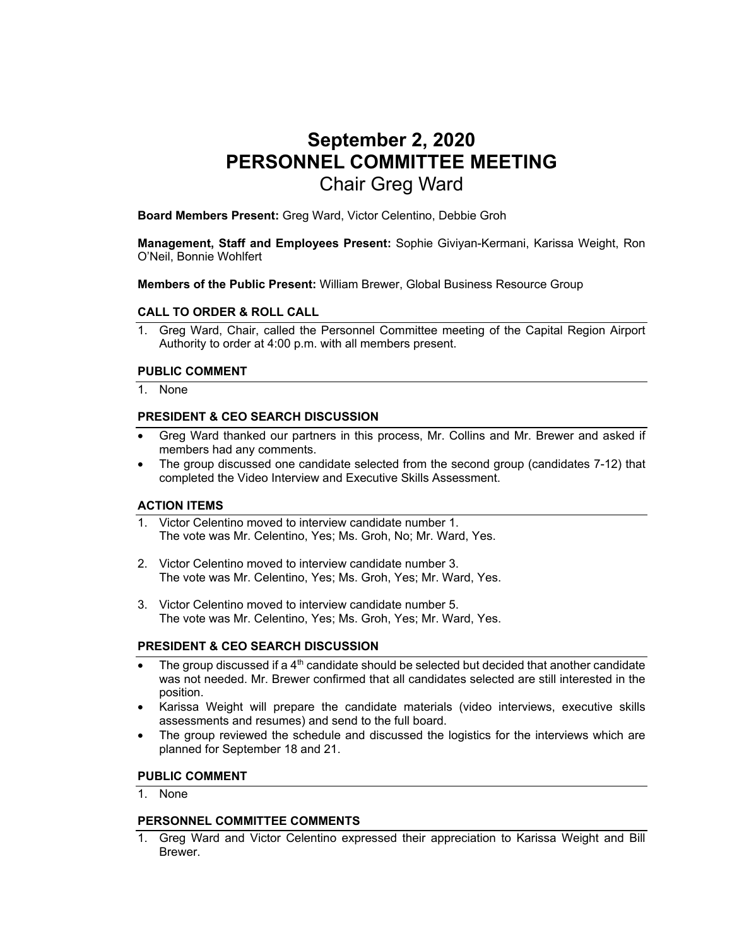# **September 2, 2020 PERSONNEL COMMITTEE MEETING**  Chair Greg Ward

**Board Members Present:** Greg Ward, Victor Celentino, Debbie Groh

**Management, Staff and Employees Present:** Sophie Giviyan-Kermani, Karissa Weight, Ron O'Neil, Bonnie Wohlfert

**Members of the Public Present:** William Brewer, Global Business Resource Group

#### **CALL TO ORDER & ROLL CALL**

1. Greg Ward, Chair, called the Personnel Committee meeting of the Capital Region Airport Authority to order at 4:00 p.m. with all members present.

#### **PUBLIC COMMENT**

1. None

#### **PRESIDENT & CEO SEARCH DISCUSSION**

- Greg Ward thanked our partners in this process, Mr. Collins and Mr. Brewer and asked if members had any comments.
- The group discussed one candidate selected from the second group (candidates 7-12) that completed the Video Interview and Executive Skills Assessment.

### **ACTION ITEMS**

- 1. Victor Celentino moved to interview candidate number 1. The vote was Mr. Celentino, Yes; Ms. Groh, No; Mr. Ward, Yes.
- 2. Victor Celentino moved to interview candidate number 3. The vote was Mr. Celentino, Yes; Ms. Groh, Yes; Mr. Ward, Yes.
- 3. Victor Celentino moved to interview candidate number 5. The vote was Mr. Celentino, Yes; Ms. Groh, Yes; Mr. Ward, Yes.

#### **PRESIDENT & CEO SEARCH DISCUSSION**

- The group discussed if a 4<sup>th</sup> candidate should be selected but decided that another candidate was not needed. Mr. Brewer confirmed that all candidates selected are still interested in the position.
- Karissa Weight will prepare the candidate materials (video interviews, executive skills assessments and resumes) and send to the full board.
- The group reviewed the schedule and discussed the logistics for the interviews which are planned for September 18 and 21.

#### **PUBLIC COMMENT**

1. None

## **PERSONNEL COMMITTEE COMMENTS**

1. Greg Ward and Victor Celentino expressed their appreciation to Karissa Weight and Bill Brewer.